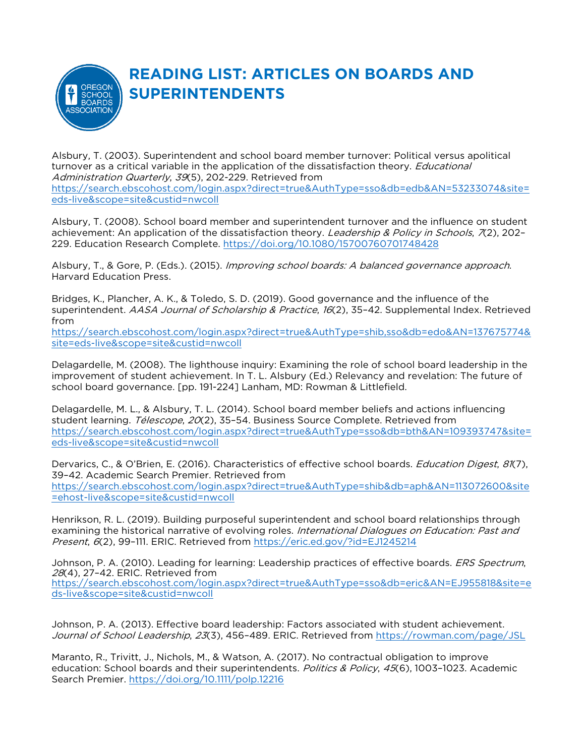

## **READING LIST: ARTICLES ON BOARDS AND SUPERINTENDENTS**

Alsbury, T. (2003). Superintendent and school board member turnover: Political versus apolitical turnover as a critical variable in the application of the dissatisfaction theory. *Educational* Administration Quarterly, 39(5), 202-229. Retrieved from [https://search.ebscohost.com/login.aspx?direct=true&AuthType=sso&db=edb&AN=53233074&site=](https://search.ebscohost.com/login.aspx?direct=true&AuthType=sso&db=edb&AN=53233074&site=eds-live&scope=site&custid=nwcoll) [eds-live&scope=site&custid=nwcoll](https://search.ebscohost.com/login.aspx?direct=true&AuthType=sso&db=edb&AN=53233074&site=eds-live&scope=site&custid=nwcoll)

Alsbury, T. (2008). School board member and superintendent turnover and the influence on student achievement: An application of the dissatisfaction theory. Leadership & Policy in Schools, 7(2), 202-229. Education Research Complete.<https://doi.org/10.1080/15700760701748428>

Alsbury, T., & Gore, P. (Eds.). (2015). *Improving school boards: A balanced governance approach.* Harvard Education Press.

Bridges, K., Plancher, A. K., & Toledo, S. D. (2019). Good governance and the influence of the superintendent. AASA Journal of Scholarship & Practice, 16(2), 35-42. Supplemental Index. Retrieved from

[https://search.ebscohost.com/login.aspx?direct=true&AuthType=shib,sso&db=edo&AN=137675774&](https://search.ebscohost.com/login.aspx?direct=true&AuthType=shib,sso&db=edo&AN=137675774&site=eds-live&scope=site&custid=nwcoll) [site=eds-live&scope=site&custid=nwcoll](https://search.ebscohost.com/login.aspx?direct=true&AuthType=shib,sso&db=edo&AN=137675774&site=eds-live&scope=site&custid=nwcoll)

Delagardelle, M. (2008). The lighthouse inquiry: Examining the role of school board leadership in the improvement of student achievement. In T. L. Alsbury (Ed.) Relevancy and revelation: The future of school board governance. [pp. 191-224] Lanham, MD: Rowman & Littlefield.

Delagardelle, M. L., & Alsbury, T. L. (2014). School board member beliefs and actions influencing student learning. Télescope, 20(2), 35-54. Business Source Complete. Retrieved from [https://search.ebscohost.com/login.aspx?direct=true&AuthType=sso&db=bth&AN=109393747&site=](https://search.ebscohost.com/login.aspx?direct=true&AuthType=sso&db=bth&AN=109393747&site=eds-live&scope=site&custid=nwcoll) [eds-live&scope=site&custid=nwcoll](https://search.ebscohost.com/login.aspx?direct=true&AuthType=sso&db=bth&AN=109393747&site=eds-live&scope=site&custid=nwcoll)

Dervarics, C., & O'Brien, E. (2016). Characteristics of effective school boards. Education Digest, 81(7), 39–42. Academic Search Premier. Retrieved from [https://search.ebscohost.com/login.aspx?direct=true&AuthType=shib&db=aph&AN=113072600&site](https://search.ebscohost.com/login.aspx?direct=true&AuthType=shib&db=aph&AN=113072600&site=ehost-live&scope=site&custid=nwcoll) [=ehost-live&scope=site&custid=nwcoll](https://search.ebscohost.com/login.aspx?direct=true&AuthType=shib&db=aph&AN=113072600&site=ehost-live&scope=site&custid=nwcoll)

Henrikson, R. L. (2019). Building purposeful superintendent and school board relationships through examining the historical narrative of evolving roles. International Dialogues on Education: Past and Present, 6(2), 99-111. ERIC. Retrieved from<https://eric.ed.gov/?id=EJ1245214>

Johnson, P. A. (2010). Leading for learning: Leadership practices of effective boards. ERS Spectrum, 28(4), 27–42. ERIC. Retrieved from [https://search.ebscohost.com/login.aspx?direct=true&AuthType=sso&db=eric&AN=EJ955818&site=e](https://search.ebscohost.com/login.aspx?direct=true&AuthType=sso&db=eric&AN=EJ955818&site=eds-live&scope=site&custid=nwcoll) [ds-live&scope=site&custid=nwcoll](https://search.ebscohost.com/login.aspx?direct=true&AuthType=sso&db=eric&AN=EJ955818&site=eds-live&scope=site&custid=nwcoll)

Johnson, P. A. (2013). Effective board leadership: Factors associated with student achievement. Journal of School Leadership, 23(3), 456-489. ERIC. Retrieved from <https://rowman.com/page/JSL>

Maranto, R., Trivitt, J., Nichols, M., & Watson, A. (2017). No contractual obligation to improve education: School boards and their superintendents. Politics & Policy, 45(6), 1003-1023. Academic Search Premier.<https://doi.org/10.1111/polp.12216>